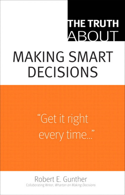# **THE TRUTH** AROLIT MAKING SMART **DECISIONS**

## "Get it right every time..."

#### Robert E. Gunther Collaborating Writer, Wharton on Making Decisions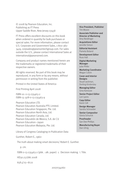© 2008 by Pearson Education, Inc. Publishing as FT Press Upper Saddle River, New Jersey 07458

FT Press offers excellent discounts on this book when ordered in quantity for bulk purchases or special sales. For more information, please contact U.S. Corporate and Government Sales, 1-800-382- 3419, corpsales@pearsontechgroup.com. For sales outside the U.S., please contact International Sales at international@pearsoned.com.

Company and product names mentioned herein are the trademarks or registered trademarks of their respective owners.

All rights reserved. No part of this book may be reproduced, in any form or by any means, without permission in writing from the publisher.

Printed in the United States of America

First Printing April 2008

ISBN-10: 0-13-235463-2 ISBN-13: 978-0-13-235463-9

Pearson Education LTD. Pearson Education Australia PTY, Limited. Pearson Education Singapore, Pte. Ltd. Pearson Education North Asia, Ltd. Pearson Education Canada, Ltd. Pearson Educatión de Mexico, S.A. de C.V. Pearson Education—Japan Pearson Education Malaysia, Pte. Ltd.

Library of Congress Cataloging-in-Publication Data

Gunther, Robert E., 1960-

The truth about making smart decisions/ Robert E. Gunther.

p. cm.

ISBN 0-13-235463-2 (pbk. : alk. paper) 1. Decision making. I. Title.

HD30.23.G86 2008

658.4'03--dc22

2007034060

Vice President, Publisher Tim Moore

Associate Publisher and Director of Marketing Amy Neidlinger

Acquisitions Editor Jennifer Simon

Editorial Assistant Pamela Boland

Development Editor Russ Hall

Digital Marketing Manager Julie Phifer

Marketing Coordinator Megan Colvin

Cover and Interior Designs Stuart Jackman, Dorling Kindersley

Managing Editor Gina Kanouse

Senior Project Editor Lori Lyons

Copy Editor Karen Gill

Design Manager Sandra Schroeder

Senior Compositor Gloria Schurick

Proofreader San Dee Phillips

Manufacturing Buyer Dan Uhrig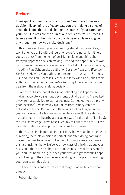### **Preface**

Think quickly. Should you buy this book? You have to make a decision. Every minute of every day, you are making a series of small decisions that could change the course of your career and your life. Our lives are the sum of our decisions. Your success is largely a result of the quality of your decisions. Have you given any thought to how you make decisions?

This book won't keep you from making stupid decisions. Alas, it won't offer you a life without regret or buyer's remorse. It will help you step back from the heat of decision making and think about how you approach decision making. I've had the opportunity to work with some of the leading researchers in the field of decision making, including Paul Schoemaker, author of Decision Traps and Winning Decisions, Howard Kunreuther, co-director of the Wharton School's Risk and Decision Processes Center, and Jerry Wind and Colin Crook, authors of The Power of Impossible Thinking. I have learned a great deal from them about making decisions.

I wish I could say that all this good schooling has kept me from making absolutely disastrous decisions, but I'd be lying. I've walked away from a stable job to start a business (turned out to be a pretty good decision). I've moved 2,000 miles from Pennsylvania to Colorado with a St. Bernard and three kids and back again in one year (a disaster but a fascinating adventure as well). It is a decision I'd make again in a heartbeat because it was for the sake of family. So the little knowledge I have hasn't kept my tail out of the fire. But the way I think about and approach decisions has changed.

There is no simple formula for decisions, but we can become better at making them. No decision is perfect, but often doing nothing is worse. The time to act is now. On the following pages are a series of sharp insights that will give you new ways of thinking about your decisions. There are no shortcuts or machines to make decisions for you. You just need to dig in, open your eyes and get to work. I hope the following truths about decision making can help you in making your own tough decisions.

But some decisions are not all that tough. I mean, buy the book already.

—Robert Gunther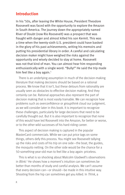#### **Introduction**

In his '50s, after leaving the White House, President Theodore Roosevelt was faced with the opportunity to explore the Amazon in South America. The journey down the appropriately named River of Doubt (now Rio Roosevelt) was a prospect that was fraught with danger and almost killed his son Kermit. This was a time when the twenty-sixth U.S. president could have basked in the glory of his past achievements, writing his memoirs and putting his presidential library in order. A careful and calculating decision maker might have weighed the risks against the opportunity and wisely decided to stay at home. Roosevelt was not that kind of man. You can almost hear him responding enthusiastically with a single word: "Bully!" He said the trip made him feel like a boy again.<sup>1</sup>

There is an underlying assumption in much of the decision-making literature that making decisions should be based on a rational process. We know that it isn't, but these detours from rationality are usually seen as obstacles to effective decision making. And they certainly can be. Rational approaches also represent the part of decision making that is most easily trainable. We can recognize how problems such as overconfidence or groupthink cloud our judgment, as we will consider later in this book. It is important to recognize these challenges, particularly for large decisions that need to be carefully thought out. But it is also important to recognize that none of this would have led Roosevelt into the Amazon, for better or worse, or to the other wild successes of his hard-riding career.

This aspect of decision making is captured in the popular MasterCard commercials. While we can put price tags on some things, others defy this process. You might see Roosevelt tallying up the risks and costs of his trip on one side—the boat, the guides, the mosquito netting. On the other side would be the chance for a 50-something-year-old man to feel like a boy again: priceless.

This is what is so shocking about Malcolm Gladwell's observations in Blink.<sup>2</sup> He shows how a moment's intuition can sometimes be better than months of study and careful analysis. We can't assume that every decision can—or should—be made in this intuitive way. Shooting from the hip can sometimes get you killed. In Th!nk, a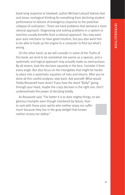book-long response to Gladwell, author Michael LeGault blames fast and loose, nonlogical thinking for everything from declining student performance to failures of emergency response to the potential collapse of civilization.<sup>3</sup> There are hard problems that demand a more rational approach. Diagnosing and solving problems in a system or machine usually benefits from a rational approach. You may want your auto mechanic to have good intuition, but you also want him to be able to hook up the engine to a computer to find out what's wrong.

On the other hand, as we will consider in some of the Truths of this book, we tend to be somewhat risk averse as a species, and a systematic and logical approach may actually make us overcautious. By all means, look the decision squarely in the face. Consider it from every angle. But also focus on the intangibles that might be harder to place into a systematic equation of risks and returns. After you've done all this careful analysis, step back. Ask yourself: What would Teddy Roosevelt have done? If you hear the word "Bully!" going through your head, maybe the crazy decision is the right one. Don't underestimate the power of deciding boldly.

As Roosevelt said, "Far better it is to dare mighty things, to win glorious triumphs even though checkered by failure, than to rank with those poor spirits who neither enjoy nor suffer much because they live in the gray twilight that knows neither victory nor defeat."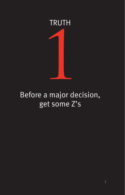

### Before a major decision, get some Z's